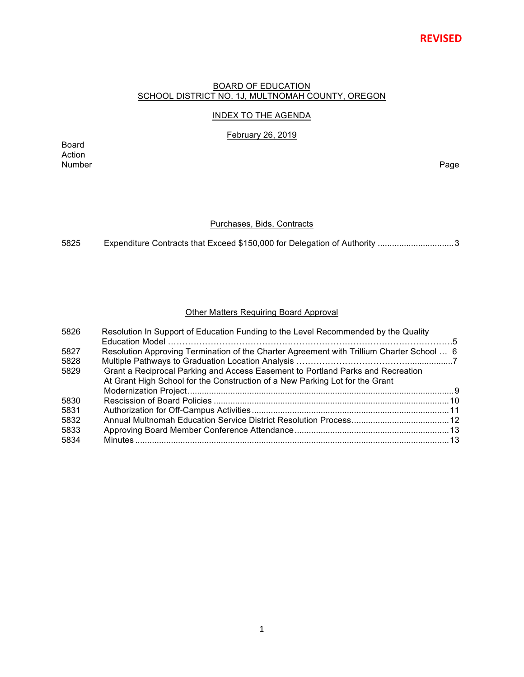# **REVISED**

#### BOARD OF EDUCATION SCHOOL DISTRICT NO. 1J, MULTNOMAH COUNTY, OREGON

# INDEX TO THE AGENDA

February 26, 2019

Board Action<br>Number Number Page

## Purchases, Bids, Contracts

5825 Expenditure Contracts that Exceed \$150,000 for Delegation of Authority ................................3

## Other Matters Requiring Board Approval

| 5826 | Resolution In Support of Education Funding to the Level Recommended by the Quality        |  |
|------|-------------------------------------------------------------------------------------------|--|
|      |                                                                                           |  |
| 5827 | Resolution Approving Termination of the Charter Agreement with Trillium Charter School  6 |  |
| 5828 |                                                                                           |  |
| 5829 | Grant a Reciprocal Parking and Access Easement to Portland Parks and Recreation           |  |
|      | At Grant High School for the Construction of a New Parking Lot for the Grant              |  |
|      |                                                                                           |  |
| 5830 |                                                                                           |  |
| 5831 |                                                                                           |  |
| 5832 |                                                                                           |  |
| 5833 |                                                                                           |  |
| 5834 |                                                                                           |  |
|      |                                                                                           |  |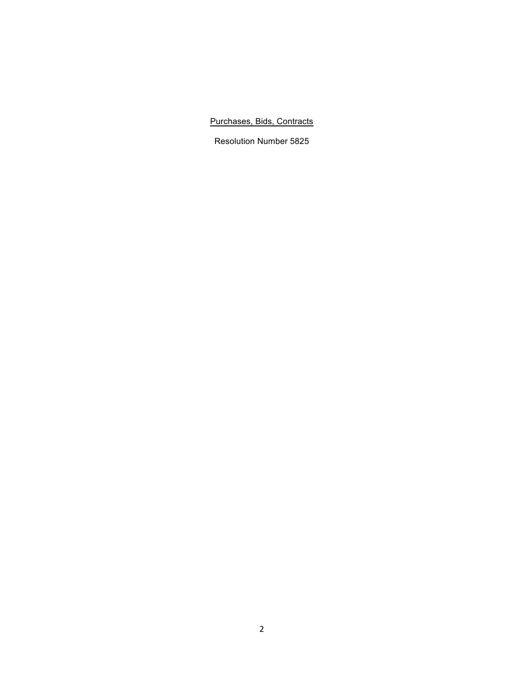# Purchases, Bids, Contracts

Resolution Number 5825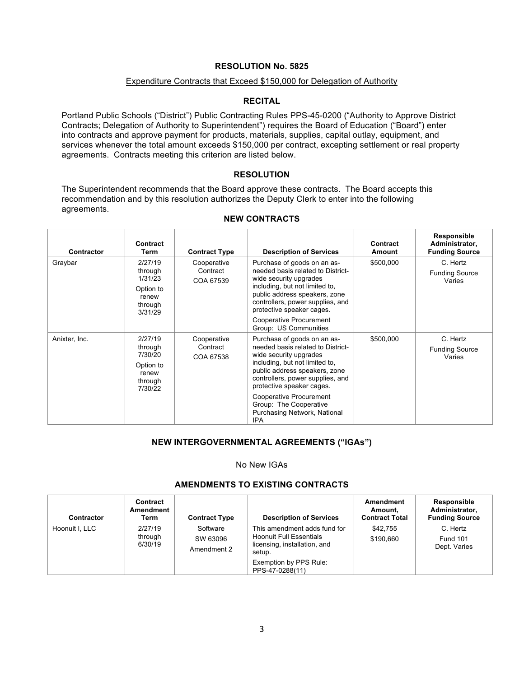#### Expenditure Contracts that Exceed \$150,000 for Delegation of Authority

#### **RECITAL**

Portland Public Schools ("District") Public Contracting Rules PPS-45-0200 ("Authority to Approve District Contracts; Delegation of Authority to Superintendent") requires the Board of Education ("Board") enter into contracts and approve payment for products, materials, supplies, capital outlay, equipment, and services whenever the total amount exceeds \$150,000 per contract, excepting settlement or real property agreements. Contracts meeting this criterion are listed below.

## **RESOLUTION**

The Superintendent recommends that the Board approve these contracts. The Board accepts this recommendation and by this resolution authorizes the Deputy Clerk to enter into the following agreements.

| Contractor    | Contract<br>Term                                                          | <b>Contract Type</b>                                                                                                                                                                                                                                                   | <b>Description of Services</b>                                                                                                                                                                                                 | Contract<br>Amount | Responsible<br>Administrator,<br><b>Funding Source</b> |
|---------------|---------------------------------------------------------------------------|------------------------------------------------------------------------------------------------------------------------------------------------------------------------------------------------------------------------------------------------------------------------|--------------------------------------------------------------------------------------------------------------------------------------------------------------------------------------------------------------------------------|--------------------|--------------------------------------------------------|
| Graybar       | 2/27/19<br>through<br>1/31/23<br>Option to<br>renew<br>through<br>3/31/29 | Purchase of goods on an as-<br>Cooperative<br>needed basis related to District-<br>Contract<br>wide security upgrades<br>COA 67539<br>including, but not limited to,<br>public address speakers, zone<br>controllers, power supplies, and<br>protective speaker cages. |                                                                                                                                                                                                                                | \$500,000          | C. Hertz<br><b>Funding Source</b><br>Varies            |
|               |                                                                           |                                                                                                                                                                                                                                                                        | <b>Cooperative Procurement</b><br>Group: US Communities                                                                                                                                                                        |                    |                                                        |
| Anixter, Inc. | 2/27/19<br>through<br>7/30/20<br>Option to<br>renew<br>through<br>7/30/22 | Cooperative<br>Contract<br>COA 67538                                                                                                                                                                                                                                   | Purchase of goods on an as-<br>needed basis related to District-<br>wide security upgrades<br>including, but not limited to,<br>public address speakers, zone<br>controllers, power supplies, and<br>protective speaker cages. | \$500,000          | C. Hertz<br><b>Funding Source</b><br>Varies            |
|               |                                                                           |                                                                                                                                                                                                                                                                        | Cooperative Procurement<br>Group: The Cooperative<br>Purchasing Network, National<br><b>IPA</b>                                                                                                                                |                    |                                                        |

#### **NEW CONTRACTS**

#### **NEW INTERGOVERNMENTAL AGREEMENTS ("IGAs")**

#### No New IGAs

# **AMENDMENTS TO EXISTING CONTRACTS**

| <b>Contractor</b> | Contract<br>Amendment<br>Term                         | <b>Contract Type</b> | <b>Description of Services</b>                                                                           | Amendment<br>Amount.<br><b>Contract Total</b> | Responsible<br>Administrator,<br><b>Funding Source</b> |
|-------------------|-------------------------------------------------------|----------------------|----------------------------------------------------------------------------------------------------------|-----------------------------------------------|--------------------------------------------------------|
| Hoonuit I, LLC    | 2/27/19<br>Software<br>through<br>SW 63096<br>6/30/19 | Amendment 2          | This amendment adds fund for<br><b>Hoonuit Full Essentials</b><br>licensing, installation, and<br>setup. | \$42.755<br>\$190.660                         | C. Hertz<br><b>Fund 101</b><br>Dept. Varies            |
|                   |                                                       |                      | Exemption by PPS Rule:<br>PPS-47-0288(11)                                                                |                                               |                                                        |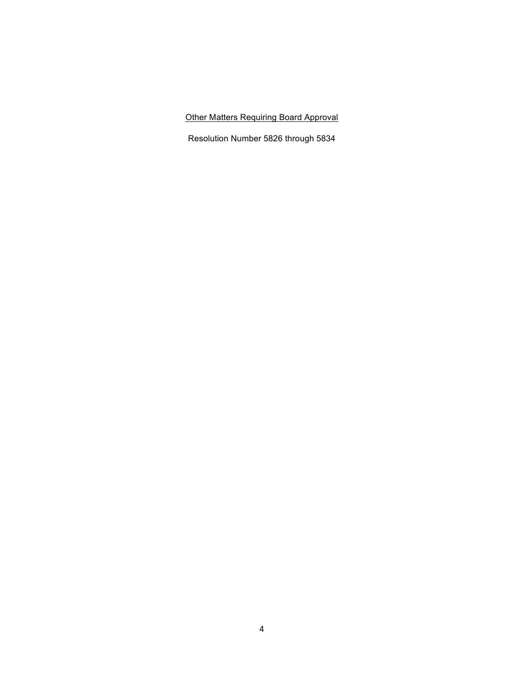Other Matters Requiring Board Approval

Resolution Number 5826 through 5834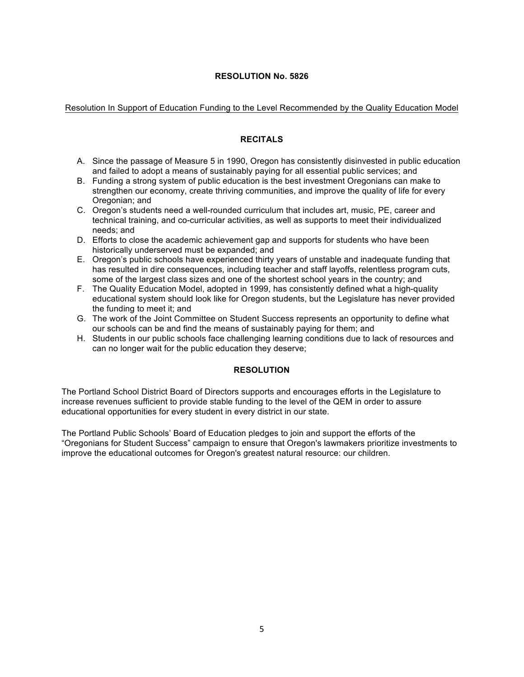## Resolution In Support of Education Funding to the Level Recommended by the Quality Education Model

## **RECITALS**

- A. Since the passage of Measure 5 in 1990, Oregon has consistently disinvested in public education and failed to adopt a means of sustainably paying for all essential public services; and
- B. Funding a strong system of public education is the best investment Oregonians can make to strengthen our economy, create thriving communities, and improve the quality of life for every Oregonian; and
- C. Oregon's students need a well-rounded curriculum that includes art, music, PE, career and technical training, and co-curricular activities, as well as supports to meet their individualized needs; and
- D. Efforts to close the academic achievement gap and supports for students who have been historically underserved must be expanded; and
- E. Oregon's public schools have experienced thirty years of unstable and inadequate funding that has resulted in dire consequences, including teacher and staff layoffs, relentless program cuts, some of the largest class sizes and one of the shortest school years in the country; and
- F. The Quality Education Model, adopted in 1999, has consistently defined what a high-quality educational system should look like for Oregon students, but the Legislature has never provided the funding to meet it; and
- G. The work of the Joint Committee on Student Success represents an opportunity to define what our schools can be and find the means of sustainably paying for them; and
- H. Students in our public schools face challenging learning conditions due to lack of resources and can no longer wait for the public education they deserve;

#### **RESOLUTION**

The Portland School District Board of Directors supports and encourages efforts in the Legislature to increase revenues sufficient to provide stable funding to the level of the QEM in order to assure educational opportunities for every student in every district in our state.

The Portland Public Schools' Board of Education pledges to join and support the efforts of the "Oregonians for Student Success" campaign to ensure that Oregon's lawmakers prioritize investments to improve the educational outcomes for Oregon's greatest natural resource: our children.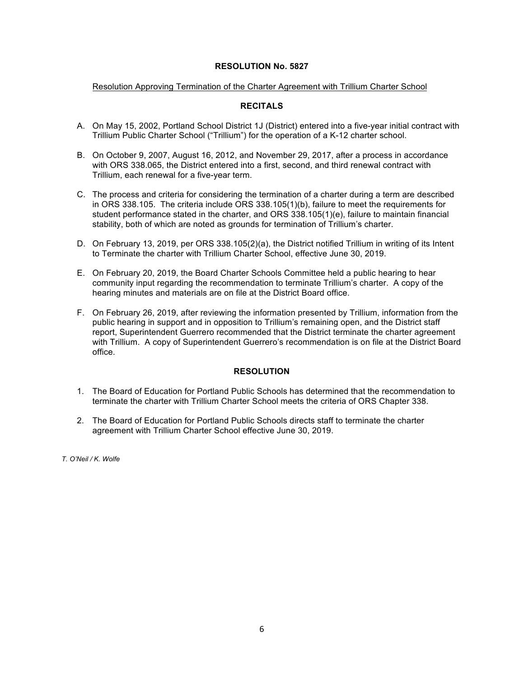#### Resolution Approving Termination of the Charter Agreement with Trillium Charter School

# **RECITALS**

- A. On May 15, 2002, Portland School District 1J (District) entered into a five-year initial contract with Trillium Public Charter School ("Trillium") for the operation of a K-12 charter school.
- B. On October 9, 2007, August 16, 2012, and November 29, 2017, after a process in accordance with ORS 338.065, the District entered into a first, second, and third renewal contract with Trillium, each renewal for a five-year term.
- C. The process and criteria for considering the termination of a charter during a term are described in ORS 338.105. The criteria include ORS 338.105(1)(b), failure to meet the requirements for student performance stated in the charter, and ORS 338.105(1)(e), failure to maintain financial stability, both of which are noted as grounds for termination of Trillium's charter.
- D. On February 13, 2019, per ORS 338.105(2)(a), the District notified Trillium in writing of its Intent to Terminate the charter with Trillium Charter School, effective June 30, 2019.
- E. On February 20, 2019, the Board Charter Schools Committee held a public hearing to hear community input regarding the recommendation to terminate Trillium's charter. A copy of the hearing minutes and materials are on file at the District Board office.
- F. On February 26, 2019, after reviewing the information presented by Trillium, information from the public hearing in support and in opposition to Trillium's remaining open, and the District staff report, Superintendent Guerrero recommended that the District terminate the charter agreement with Trillium. A copy of Superintendent Guerrero's recommendation is on file at the District Board office.

# **RESOLUTION**

- 1. The Board of Education for Portland Public Schools has determined that the recommendation to terminate the charter with Trillium Charter School meets the criteria of ORS Chapter 338.
- 2. The Board of Education for Portland Public Schools directs staff to terminate the charter agreement with Trillium Charter School effective June 30, 2019.

*T. O'Neil / K. Wolfe*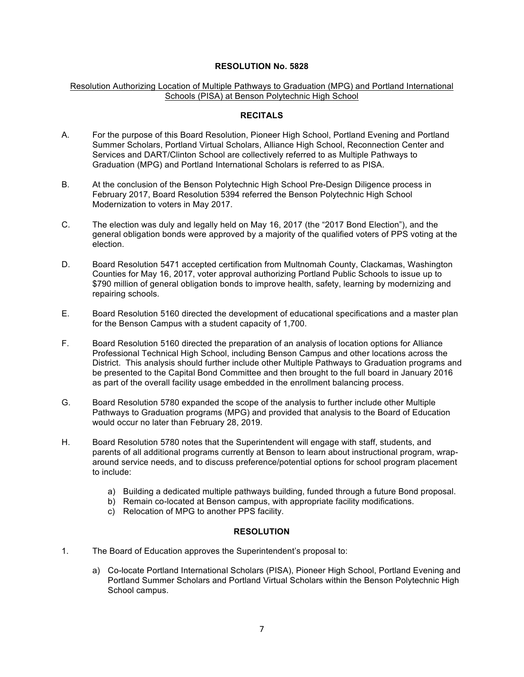#### Resolution Authorizing Location of Multiple Pathways to Graduation (MPG) and Portland International Schools (PISA) at Benson Polytechnic High School

#### **RECITALS**

- A. For the purpose of this Board Resolution, Pioneer High School, Portland Evening and Portland Summer Scholars, Portland Virtual Scholars, Alliance High School, Reconnection Center and Services and DART/Clinton School are collectively referred to as Multiple Pathways to Graduation (MPG) and Portland International Scholars is referred to as PISA.
- B. At the conclusion of the Benson Polytechnic High School Pre-Design Diligence process in February 2017, Board Resolution 5394 referred the Benson Polytechnic High School Modernization to voters in May 2017.
- C. The election was duly and legally held on May 16, 2017 (the "2017 Bond Election"), and the general obligation bonds were approved by a majority of the qualified voters of PPS voting at the election.
- D. Board Resolution 5471 accepted certification from Multnomah County, Clackamas, Washington Counties for May 16, 2017, voter approval authorizing Portland Public Schools to issue up to \$790 million of general obligation bonds to improve health, safety, learning by modernizing and repairing schools.
- E. Board Resolution 5160 directed the development of educational specifications and a master plan for the Benson Campus with a student capacity of 1,700.
- F. Board Resolution 5160 directed the preparation of an analysis of location options for Alliance Professional Technical High School, including Benson Campus and other locations across the District. This analysis should further include other Multiple Pathways to Graduation programs and be presented to the Capital Bond Committee and then brought to the full board in January 2016 as part of the overall facility usage embedded in the enrollment balancing process.
- G. Board Resolution 5780 expanded the scope of the analysis to further include other Multiple Pathways to Graduation programs (MPG) and provided that analysis to the Board of Education would occur no later than February 28, 2019.
- H. Board Resolution 5780 notes that the Superintendent will engage with staff, students, and parents of all additional programs currently at Benson to learn about instructional program, wraparound service needs, and to discuss preference/potential options for school program placement to include:
	- a) Building a dedicated multiple pathways building, funded through a future Bond proposal.
	- b) Remain co-located at Benson campus, with appropriate facility modifications.
	- c) Relocation of MPG to another PPS facility.

#### **RESOLUTION**

- 1. The Board of Education approves the Superintendent's proposal to:
	- a) Co-locate Portland International Scholars (PISA), Pioneer High School, Portland Evening and Portland Summer Scholars and Portland Virtual Scholars within the Benson Polytechnic High School campus.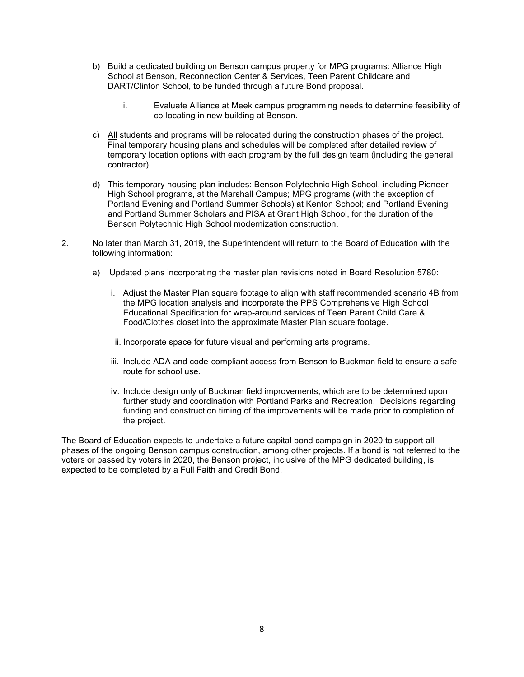- b) Build a dedicated building on Benson campus property for MPG programs: Alliance High School at Benson, Reconnection Center & Services, Teen Parent Childcare and DART/Clinton School, to be funded through a future Bond proposal.
	- i. Evaluate Alliance at Meek campus programming needs to determine feasibility of co-locating in new building at Benson.
- c) All students and programs will be relocated during the construction phases of the project. Final temporary housing plans and schedules will be completed after detailed review of temporary location options with each program by the full design team (including the general contractor).
- d) This temporary housing plan includes: Benson Polytechnic High School, including Pioneer High School programs, at the Marshall Campus; MPG programs (with the exception of Portland Evening and Portland Summer Schools) at Kenton School; and Portland Evening and Portland Summer Scholars and PISA at Grant High School, for the duration of the Benson Polytechnic High School modernization construction.
- 2. No later than March 31, 2019, the Superintendent will return to the Board of Education with the following information:
	- a) Updated plans incorporating the master plan revisions noted in Board Resolution 5780:
		- i. Adjust the Master Plan square footage to align with staff recommended scenario 4B from the MPG location analysis and incorporate the PPS Comprehensive High School Educational Specification for wrap-around services of Teen Parent Child Care & Food/Clothes closet into the approximate Master Plan square footage.
		- ii. Incorporate space for future visual and performing arts programs.
		- iii. Include ADA and code-compliant access from Benson to Buckman field to ensure a safe route for school use.
		- iv. Include design only of Buckman field improvements, which are to be determined upon further study and coordination with Portland Parks and Recreation. Decisions regarding funding and construction timing of the improvements will be made prior to completion of the project.

The Board of Education expects to undertake a future capital bond campaign in 2020 to support all phases of the ongoing Benson campus construction, among other projects. If a bond is not referred to the voters or passed by voters in 2020, the Benson project, inclusive of the MPG dedicated building, is expected to be completed by a Full Faith and Credit Bond.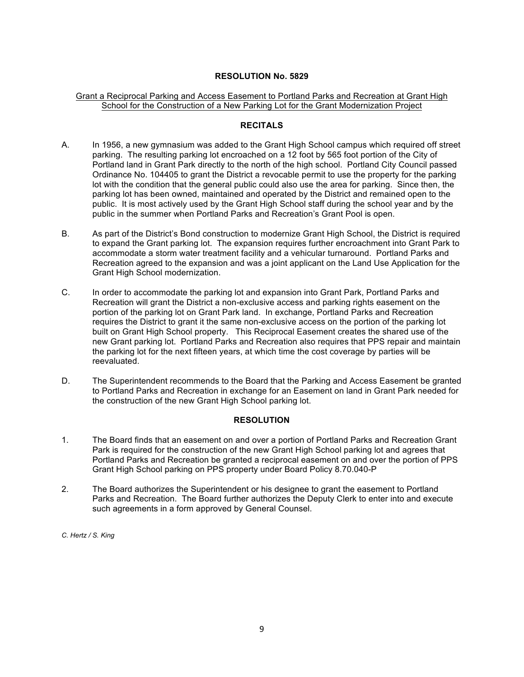## Grant a Reciprocal Parking and Access Easement to Portland Parks and Recreation at Grant High School for the Construction of a New Parking Lot for the Grant Modernization Project

#### **RECITALS**

- A. In 1956, a new gymnasium was added to the Grant High School campus which required off street parking. The resulting parking lot encroached on a 12 foot by 565 foot portion of the City of Portland land in Grant Park directly to the north of the high school. Portland City Council passed Ordinance No. 104405 to grant the District a revocable permit to use the property for the parking lot with the condition that the general public could also use the area for parking. Since then, the parking lot has been owned, maintained and operated by the District and remained open to the public. It is most actively used by the Grant High School staff during the school year and by the public in the summer when Portland Parks and Recreation's Grant Pool is open.
- B. As part of the District's Bond construction to modernize Grant High School, the District is required to expand the Grant parking lot. The expansion requires further encroachment into Grant Park to accommodate a storm water treatment facility and a vehicular turnaround. Portland Parks and Recreation agreed to the expansion and was a joint applicant on the Land Use Application for the Grant High School modernization.
- C. In order to accommodate the parking lot and expansion into Grant Park, Portland Parks and Recreation will grant the District a non-exclusive access and parking rights easement on the portion of the parking lot on Grant Park land. In exchange, Portland Parks and Recreation requires the District to grant it the same non-exclusive access on the portion of the parking lot built on Grant High School property. This Reciprocal Easement creates the shared use of the new Grant parking lot. Portland Parks and Recreation also requires that PPS repair and maintain the parking lot for the next fifteen years, at which time the cost coverage by parties will be reevaluated.
- D. The Superintendent recommends to the Board that the Parking and Access Easement be granted to Portland Parks and Recreation in exchange for an Easement on land in Grant Park needed for the construction of the new Grant High School parking lot.

#### **RESOLUTION**

- 1. The Board finds that an easement on and over a portion of Portland Parks and Recreation Grant Park is required for the construction of the new Grant High School parking lot and agrees that Portland Parks and Recreation be granted a reciprocal easement on and over the portion of PPS Grant High School parking on PPS property under Board Policy 8.70.040-P
- 2. The Board authorizes the Superintendent or his designee to grant the easement to Portland Parks and Recreation. The Board further authorizes the Deputy Clerk to enter into and execute such agreements in a form approved by General Counsel.

*C. Hertz / S. King*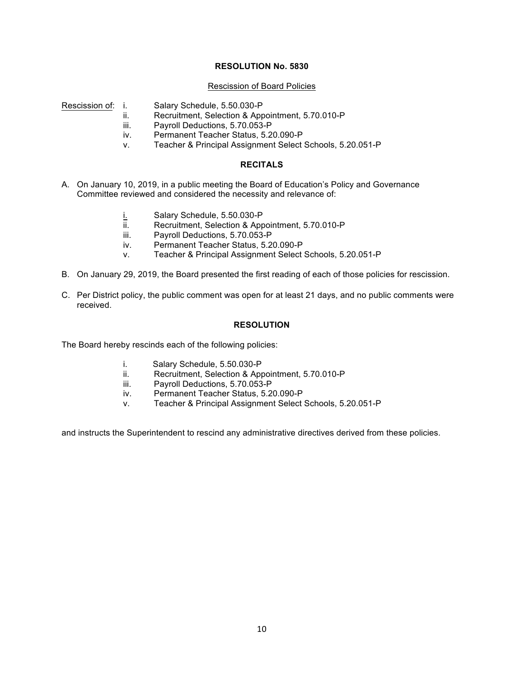#### Rescission of Board Policies

- Rescission of: i. Salary Schedule, 5.50.030-P
	- ii. Recruitment, Selection & Appointment, 5.70.010-P
	- iii. Payroll Deductions, 5.70.053-P
	- iv. Permanent Teacher Status, 5.20.090-P
	- v. Teacher & Principal Assignment Select Schools, 5.20.051-P

## **RECITALS**

- A. On January 10, 2019, in a public meeting the Board of Education's Policy and Governance Committee reviewed and considered the necessity and relevance of:
	- i. Salary Schedule, 5.50.030-P
	- ii. Recruitment, Selection & Appointment, 5.70.010-P
	- iii. Payroll Deductions, 5.70.053-P
	- iv. Permanent Teacher Status, 5.20.090-P
	- v. Teacher & Principal Assignment Select Schools, 5.20.051-P
- B. On January 29, 2019, the Board presented the first reading of each of those policies for rescission.
- C. Per District policy, the public comment was open for at least 21 days, and no public comments were received.

#### **RESOLUTION**

The Board hereby rescinds each of the following policies:

- i. Salary Schedule, 5.50.030-P
- ii. Recruitment, Selection & Appointment, 5.70.010-P
- iii. Payroll Deductions, 5.70.053-P
- iv. Permanent Teacher Status, 5.20.090-P
- v. Teacher & Principal Assignment Select Schools, 5.20.051-P

and instructs the Superintendent to rescind any administrative directives derived from these policies.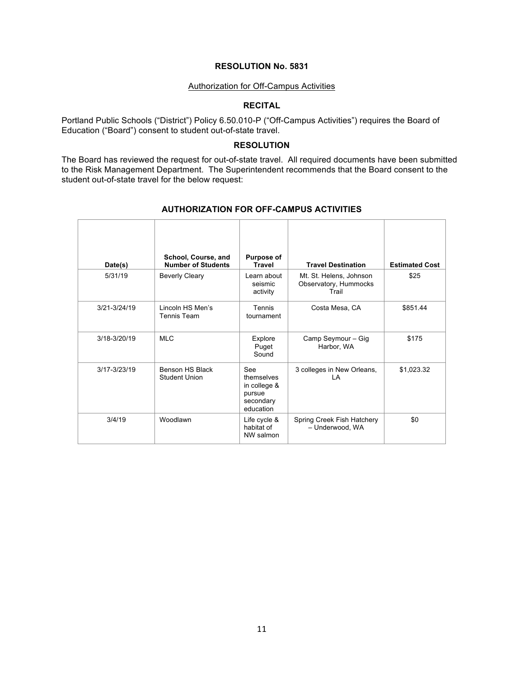#### Authorization for Off-Campus Activities

# **RECITAL**

Portland Public Schools ("District") Policy 6.50.010-P ("Off-Campus Activities") requires the Board of Education ("Board") consent to student out-of-state travel.

#### **RESOLUTION**

The Board has reviewed the request for out-of-state travel. All required documents have been submitted to the Risk Management Department. The Superintendent recommends that the Board consent to the student out-of-state travel for the below request:

| Date(s)          | School, Course, and<br><b>Number of Students</b> | <b>Purpose of</b><br><b>Travel</b>                                    | <b>Travel Destination</b>                                 | <b>Estimated Cost</b> |
|------------------|--------------------------------------------------|-----------------------------------------------------------------------|-----------------------------------------------------------|-----------------------|
| 5/31/19          | <b>Beverly Cleary</b>                            | Learn about<br>seismic<br>activity                                    | Mt. St. Helens, Johnson<br>Observatory, Hummocks<br>Trail | \$25                  |
| 3/21-3/24/19     | Lincoln HS Men's<br>Tennis Team                  | Tennis<br>tournament                                                  | Costa Mesa, CA                                            | \$851.44              |
| 3/18-3/20/19     | <b>MLC</b>                                       | Explore<br>Puget<br>Sound                                             | Camp Seymour - Gig<br>Harbor, WA                          | \$175                 |
| $3/17 - 3/23/19$ | Benson HS Black<br><b>Student Union</b>          | See<br>themselves<br>in college &<br>pursue<br>secondary<br>education | 3 colleges in New Orleans,<br>ΙA                          | \$1,023.32            |
| 3/4/19           | Woodlawn                                         | Life cycle &<br>habitat of<br>NW salmon                               | Spring Creek Fish Hatchery<br>- Underwood, WA             | \$0                   |

#### **AUTHORIZATION FOR OFF-CAMPUS ACTIVITIES**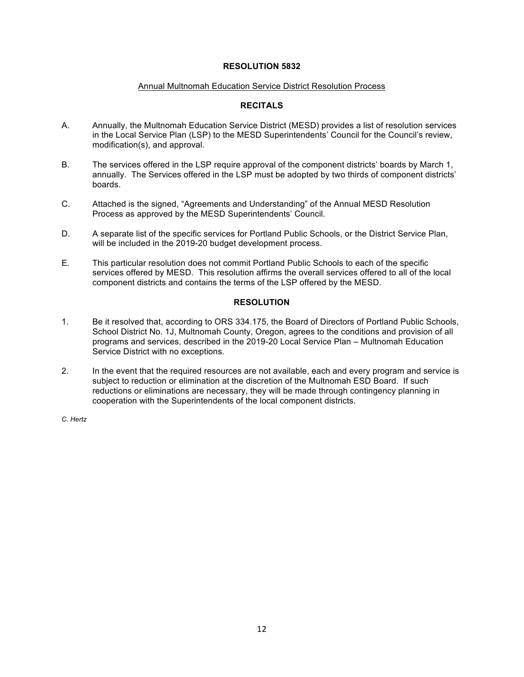## **RESOLUTION 5832**

#### Annual Multnomah Education Service District Resolution Process

## **RECITALS**

- A. Annually, the Multnomah Education Service District (MESD) provides a list of resolution services in the Local Service Plan (LSP) to the MESD Superintendents' Council for the Council's review, modification(s), and approval.
- B. The services offered in the LSP require approval of the component districts' boards by March 1, annually. The Services offered in the LSP must be adopted by two thirds of component districts' boards.
- C. Attached is the signed, "Agreements and Understanding" of the Annual MESD Resolution Process as approved by the MESD Superintendents' Council.
- D. A separate list of the specific services for Portland Public Schools, or the District Service Plan, will be included in the 2019-20 budget development process.
- E. This particular resolution does not commit Portland Public Schools to each of the specific services offered by MESD. This resolution affirms the overall services offered to all of the local component districts and contains the terms of the LSP offered by the MESD.

## **RESOLUTION**

- 1. Be it resolved that, according to ORS 334.175, the Board of Directors of Portland Public Schools, School District No. 1J, Multnomah County, Oregon, agrees to the conditions and provision of all programs and services, described in the 2019-20 Local Service Plan – Multnomah Education Service District with no exceptions.
- 2. In the event that the required resources are not available, each and every program and service is subject to reduction or elimination at the discretion of the Multnomah ESD Board. If such reductions or eliminations are necessary, they will be made through contingency planning in cooperation with the Superintendents of the local component districts.

*C. Hertz*